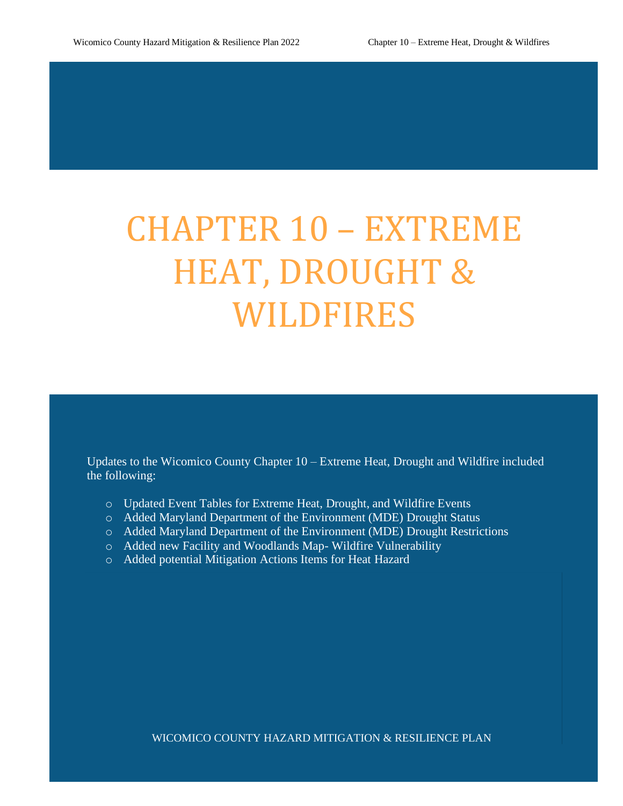# CHAPTER 10 – EXTREME HEAT, DROUGHT & WILDFIRES

Updates to the Wicomico County Chapter 10 – Extreme Heat, Drought and Wildfire included the following:

- o Updated Event Tables for Extreme Heat, Drought, and Wildfire Events
- o Added Maryland Department of the Environment (MDE) Drought Status
- o Added Maryland Department of the Environment (MDE) Drought Restrictions
- o Added new Facility and Woodlands Map- Wildfire Vulnerability
- o Added potential Mitigation Actions Items for Heat Hazard

WICOMICO COUNTY HAZARD MITIGATION & RESILIENCE PLAN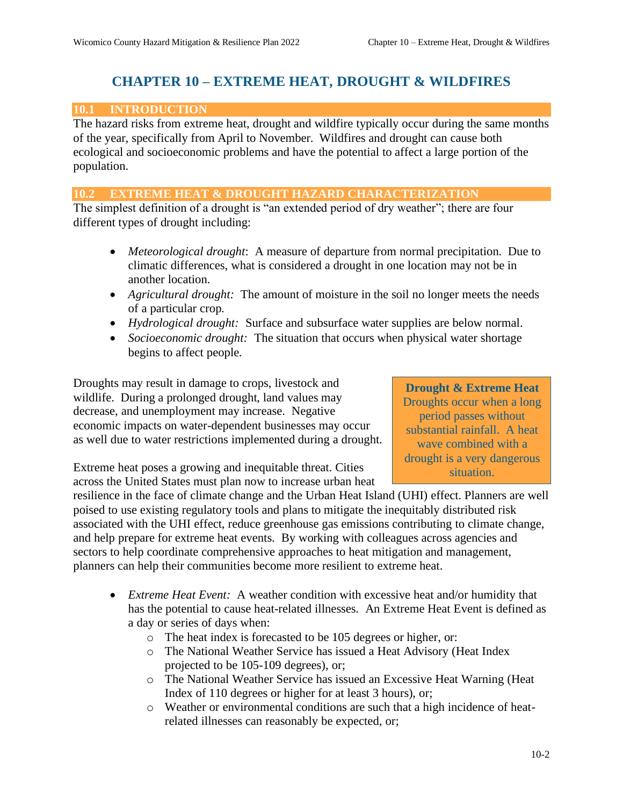## **CHAPTER 10 – EXTREME HEAT, DROUGHT & WILDFIRES**

## **10.1 INTRODUCTION**

The hazard risks from extreme heat, drought and wildfire typically occur during the same months of the year, specifically from April to November. Wildfires and drought can cause both ecological and socioeconomic problems and have the potential to affect a large portion of the population.

#### **10.2 EXTREME HEAT & DROUGHT HAZARD CHARACTERIZATION**

The simplest definition of a drought is "an extended period of dry weather"; there are four different types of drought including:

- *Meteorological drought*: A measure of departure from normal precipitation. Due to climatic differences, what is considered a drought in one location may not be in another location.
- *Agricultural drought:* The amount of moisture in the soil no longer meets the needs of a particular crop.
- *Hydrological drought:* Surface and subsurface water supplies are below normal.
- *Socioeconomic drought:* The situation that occurs when physical water shortage begins to affect people.

Droughts may result in damage to crops, livestock and wildlife. During a prolonged drought, land values may decrease, and unemployment may increase. Negative economic impacts on water-dependent businesses may occur as well due to water restrictions implemented during a drought.

Extreme heat poses a growing and inequitable threat. Cities across the United States must plan now to increase urban heat

## **Drought & Extreme Heat**

Droughts occur when a long period passes without substantial rainfall. A heat wave combined with a drought is a very dangerous situation.

resilience in the face of climate change and the Urban Heat Island (UHI) effect. Planners are well poised to use existing regulatory tools and plans to mitigate the inequitably distributed risk associated with the UHI effect, reduce greenhouse gas emissions contributing to climate change, and help prepare for extreme heat events. By working with colleagues across agencies and sectors to help coordinate comprehensive approaches to heat mitigation and management, planners can help their communities become more resilient to extreme heat.

- *Extreme Heat Event:* A weather condition with excessive heat and/or humidity that has the potential to cause heat-related illnesses. An Extreme Heat Event is defined as a day or series of days when:
	- o The heat index is forecasted to be 105 degrees or higher, or:
	- o The National Weather Service has issued a Heat Advisory (Heat Index projected to be 105-109 degrees), or;
	- o The National Weather Service has issued an Excessive Heat Warning (Heat Index of 110 degrees or higher for at least 3 hours), or;
	- o Weather or environmental conditions are such that a high incidence of heatrelated illnesses can reasonably be expected, or;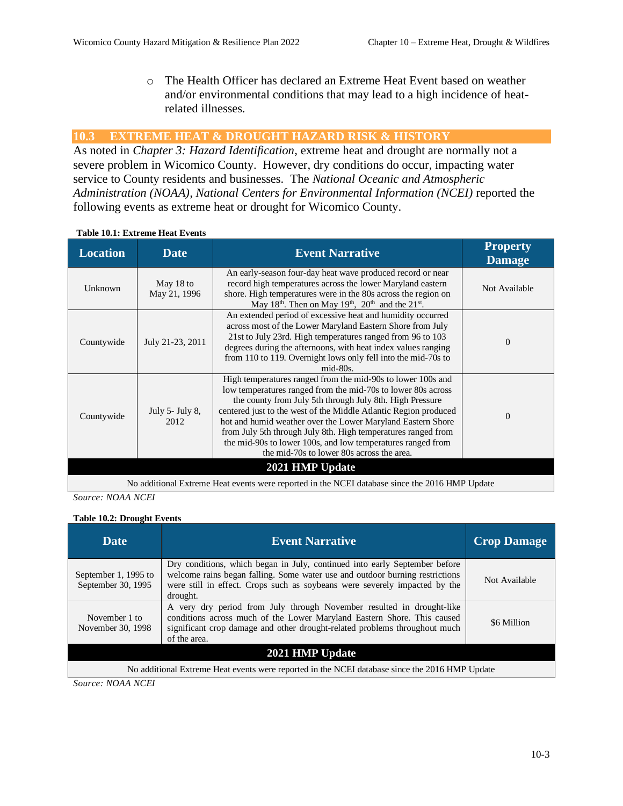o The Health Officer has declared an Extreme Heat Event based on weather and/or environmental conditions that may lead to a high incidence of heatrelated illnesses.

## **10.3 EXTREME HEAT & DROUGHT HAZARD RISK & HISTORY**

As noted in *Chapter 3: Hazard Identification*, extreme heat and drought are normally not a severe problem in Wicomico County. However, dry conditions do occur, impacting water service to County residents and businesses. The *National Oceanic and Atmospheric Administration (NOAA), National Centers for Environmental Information (NCEI)* reported the following events as extreme heat or drought for Wicomico County.

| <b>Location</b>                                                                                | <b>Date</b>                | <b>Event Narrative</b>                                                                                                                                                                                                                                                                                                                                                                                                                                                                                  | <b>Property</b><br><b>Damage</b> |  |  |
|------------------------------------------------------------------------------------------------|----------------------------|---------------------------------------------------------------------------------------------------------------------------------------------------------------------------------------------------------------------------------------------------------------------------------------------------------------------------------------------------------------------------------------------------------------------------------------------------------------------------------------------------------|----------------------------------|--|--|
| Unknown                                                                                        | May 18 to<br>May 21, 1996  | An early-season four-day heat wave produced record or near<br>record high temperatures across the lower Maryland eastern<br>shore. High temperatures were in the 80s across the region on<br>May 18 <sup>th</sup> . Then on May 19 <sup>th</sup> , 20 <sup>th</sup> and the 21 <sup>st</sup> .                                                                                                                                                                                                          | Not Available                    |  |  |
| Countywide                                                                                     | July 21-23, 2011           | An extended period of excessive heat and humidity occurred<br>across most of the Lower Maryland Eastern Shore from July<br>21st to July 23rd. High temperatures ranged from 96 to 103<br>degrees during the afternoons, with heat index values ranging<br>from 110 to 119. Overnight lows only fell into the mid-70s to<br>$mid-80s$ .                                                                                                                                                                  | $\Omega$                         |  |  |
| Countywide                                                                                     | July $5$ - July 8,<br>2012 | High temperatures ranged from the mid-90s to lower 100s and<br>low temperatures ranged from the mid-70s to lower 80s across<br>the county from July 5th through July 8th. High Pressure<br>centered just to the west of the Middle Atlantic Region produced<br>hot and humid weather over the Lower Maryland Eastern Shore<br>from July 5th through July 8th. High temperatures ranged from<br>the mid-90s to lower 100s, and low temperatures ranged from<br>the mid-70s to lower 80s across the area. | $\Omega$                         |  |  |
| 2021 HMP Update                                                                                |                            |                                                                                                                                                                                                                                                                                                                                                                                                                                                                                                         |                                  |  |  |
| No additional Extreme Heat events were reported in the NCEI database since the 2016 HMP Update |                            |                                                                                                                                                                                                                                                                                                                                                                                                                                                                                                         |                                  |  |  |

#### **Table 10.1: Extreme Heat Events**

*Source: NOAA NCEI*

#### **Table 10.2: Drought Events**

| <b>Date</b>                                                                                    | <b>Event Narrative</b>                                                                                                                                                                                                                               | <b>Crop Damage</b> |  |  |  |  |
|------------------------------------------------------------------------------------------------|------------------------------------------------------------------------------------------------------------------------------------------------------------------------------------------------------------------------------------------------------|--------------------|--|--|--|--|
| September 1, 1995 to<br>September 30, 1995                                                     | Dry conditions, which began in July, continued into early September before<br>welcome rains began falling. Some water use and outdoor burning restrictions<br>were still in effect. Crops such as soybeans were severely impacted by the<br>drought. | Not Available      |  |  |  |  |
| November 1 to<br>November 30, 1998                                                             | A very dry period from July through November resulted in drought-like<br>conditions across much of the Lower Maryland Eastern Shore. This caused<br>significant crop damage and other drought-related problems throughout much<br>of the area.       | \$6 Million        |  |  |  |  |
| 2021 HMP Update                                                                                |                                                                                                                                                                                                                                                      |                    |  |  |  |  |
| No additional Extreme Heat events were reported in the NCEI database since the 2016 HMP Update |                                                                                                                                                                                                                                                      |                    |  |  |  |  |
| $S_{\alpha\mu\nu\rho\alpha}$ , $N\Omega\Lambda\Lambda N\Gamma\Gamma$                           |                                                                                                                                                                                                                                                      |                    |  |  |  |  |

*Source: NOAA NCEI*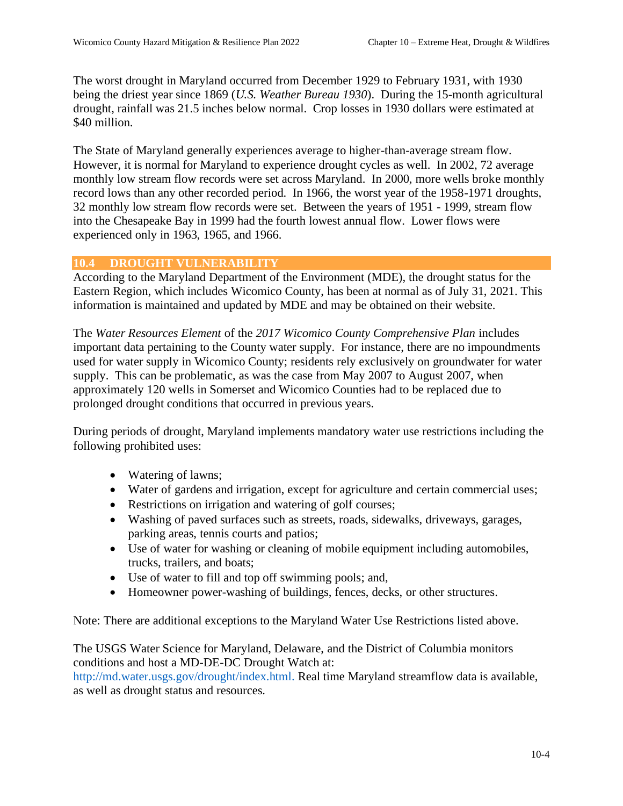The worst drought in Maryland occurred from December 1929 to February 1931, with 1930 being the driest year since 1869 (*U.S. Weather Bureau 1930*). During the 15-month agricultural drought, rainfall was 21.5 inches below normal. Crop losses in 1930 dollars were estimated at \$40 million.

The State of Maryland generally experiences average to higher-than-average stream flow. However, it is normal for Maryland to experience drought cycles as well. In 2002, 72 average monthly low stream flow records were set across Maryland. In 2000, more wells broke monthly record lows than any other recorded period. In 1966, the worst year of the 1958-1971 droughts, 32 monthly low stream flow records were set. Between the years of 1951 - 1999, stream flow into the Chesapeake Bay in 1999 had the fourth lowest annual flow. Lower flows were experienced only in 1963, 1965, and 1966.

## **10.4 DROUGHT VULNERABILITY**

According to the Maryland Department of the Environment (MDE), the drought status for the Eastern Region, which includes Wicomico County, has been at normal as of July 31, 2021. This information is maintained and updated by MDE and may be obtained on their website.

The *Water Resources Element* of the *2017 Wicomico County Comprehensive Plan* includes important data pertaining to the County water supply. For instance, there are no impoundments used for water supply in Wicomico County; residents rely exclusively on groundwater for water supply. This can be problematic, as was the case from May 2007 to August 2007, when approximately 120 wells in Somerset and Wicomico Counties had to be replaced due to prolonged drought conditions that occurred in previous years.

During periods of drought, Maryland implements mandatory water use restrictions including the following prohibited uses:

- Watering of lawns;
- Water of gardens and irrigation, except for agriculture and certain commercial uses;
- Restrictions on irrigation and watering of golf courses;
- Washing of paved surfaces such as streets, roads, sidewalks, driveways, garages, parking areas, tennis courts and patios;
- Use of water for washing or cleaning of mobile equipment including automobiles, trucks, trailers, and boats;
- Use of water to fill and top off swimming pools; and,
- Homeowner power-washing of buildings, fences, decks, or other structures.

Note: There are additional exceptions to the Maryland Water Use Restrictions listed above.

The USGS Water Science for Maryland, Delaware, and the District of Columbia monitors conditions and host a MD-DE-DC Drought Watch at:

http://md.water.usgs.gov/drought/index.html. Real time Maryland streamflow data is available, as well as drought status and resources.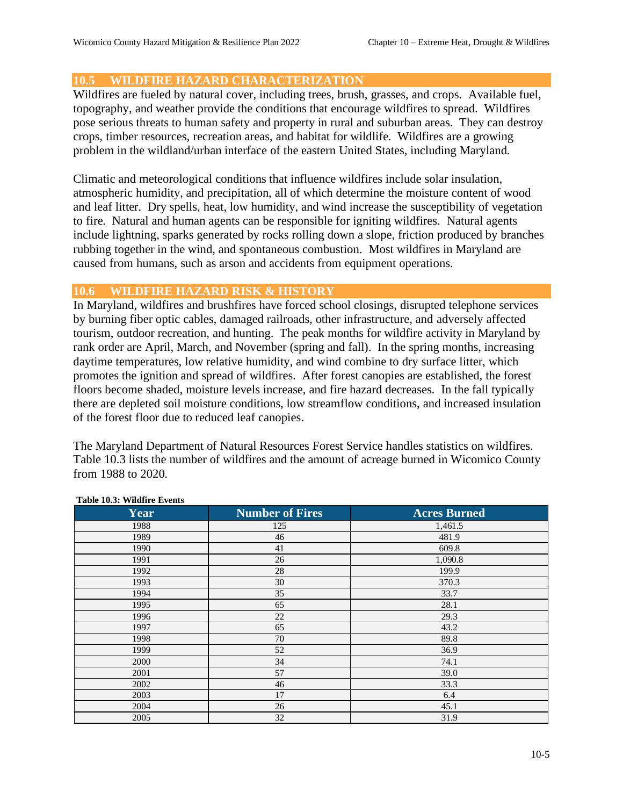## **10.5 WILDFIRE HAZARD CHARACTERIZATION**

Wildfires are fueled by natural cover, including trees, brush, grasses, and crops. Available fuel, topography, and weather provide the conditions that encourage wildfires to spread. Wildfires pose serious threats to human safety and property in rural and suburban areas. They can destroy crops, timber resources, recreation areas, and habitat for wildlife. Wildfires are a growing problem in the wildland/urban interface of the eastern United States, including Maryland.

Climatic and meteorological conditions that influence wildfires include solar insulation, atmospheric humidity, and precipitation, all of which determine the moisture content of wood and leaf litter. Dry spells, heat, low humidity, and wind increase the susceptibility of vegetation to fire. Natural and human agents can be responsible for igniting wildfires. Natural agents include lightning, sparks generated by rocks rolling down a slope, friction produced by branches rubbing together in the wind, and spontaneous combustion. Most wildfires in Maryland are caused from humans, such as arson and accidents from equipment operations.

#### **10.6 WILDFIRE HAZARD RISK & HISTORY**

In Maryland, wildfires and brushfires have forced school closings, disrupted telephone services by burning fiber optic cables, damaged railroads, other infrastructure, and adversely affected tourism, outdoor recreation, and hunting. The peak months for wildfire activity in Maryland by rank order are April, March, and November (spring and fall). In the spring months, increasing daytime temperatures, low relative humidity, and wind combine to dry surface litter, which promotes the ignition and spread of wildfires. After forest canopies are established, the forest floors become shaded, moisture levels increase, and fire hazard decreases. In the fall typically there are depleted soil moisture conditions, low streamflow conditions, and increased insulation of the forest floor due to reduced leaf canopies.

The Maryland Department of Natural Resources Forest Service handles statistics on wildfires. Table 10.3 lists the number of wildfires and the amount of acreage burned in Wicomico County from 1988 to 2020.

| Year | <b>Number of Fires</b> | <b>Acres Burned</b> |
|------|------------------------|---------------------|
| 1988 | 125                    | 1,461.5             |
| 1989 | 46                     | 481.9               |
| 1990 | 41                     | 609.8               |
| 1991 | 26                     | 1,090.8             |
| 1992 | 28                     | 199.9               |
| 1993 | 30                     | 370.3               |
| 1994 | 35                     | 33.7                |
| 1995 | 65                     | 28.1                |
| 1996 | 22                     | 29.3                |
| 1997 | 65                     | 43.2                |
| 1998 | 70                     | 89.8                |
| 1999 | 52                     | 36.9                |
| 2000 | 34                     | 74.1                |
| 2001 | 57                     | 39.0                |
| 2002 | 46                     | 33.3                |
| 2003 | 17                     | 6.4                 |
| 2004 | 26                     | 45.1                |
| 2005 | 32                     | 31.9                |

#### **Table 10.3: Wildfire Events**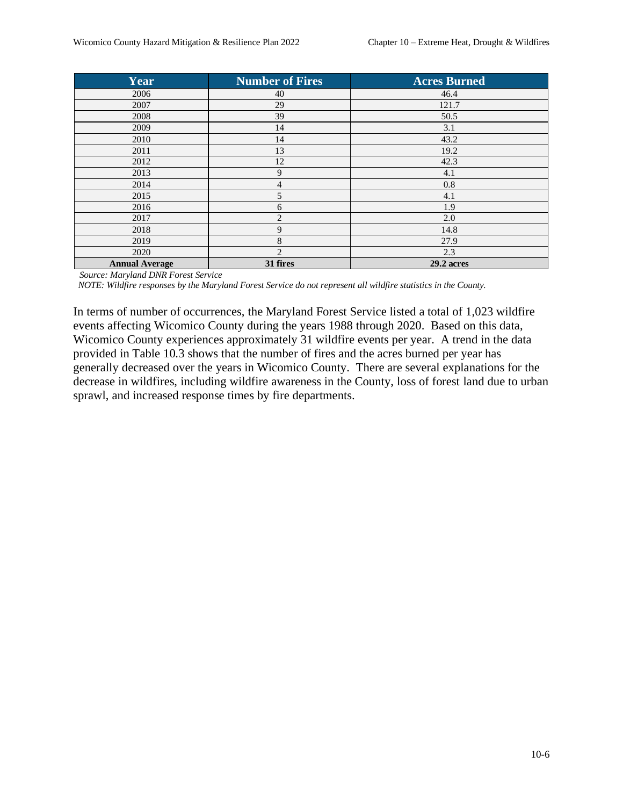| Year                  | <b>Number of Fires</b> | <b>Acres Burned</b> |
|-----------------------|------------------------|---------------------|
| 2006                  | 40                     | 46.4                |
| 2007                  | 29                     | 121.7               |
| 2008                  | 39                     | 50.5                |
| 2009                  | 14                     | 3.1                 |
| 2010                  | 14                     | 43.2                |
| 2011                  | 13                     | 19.2                |
| 2012                  | 12                     | 42.3                |
| 2013                  | 9                      | 4.1                 |
| 2014                  | 4                      | 0.8                 |
| 2015                  | 5                      | 4.1                 |
| 2016                  | 6                      | 1.9                 |
| 2017                  | 2                      | 2.0                 |
| 2018                  | 9                      | 14.8                |
| 2019                  | 8                      | 27.9                |
| 2020                  | $\overline{2}$         | 2.3                 |
| <b>Annual Average</b> | 31 fires               | 29.2 acres          |

*Source: Maryland DNR Forest Service*

 *NOTE: Wildfire responses by the Maryland Forest Service do not represent all wildfire statistics in the County.*

In terms of number of occurrences, the Maryland Forest Service listed a total of 1,023 wildfire events affecting Wicomico County during the years 1988 through 2020. Based on this data, Wicomico County experiences approximately 31 wildfire events per year. A trend in the data provided in Table 10.3 shows that the number of fires and the acres burned per year has generally decreased over the years in Wicomico County. There are several explanations for the decrease in wildfires, including wildfire awareness in the County, loss of forest land due to urban sprawl, and increased response times by fire departments.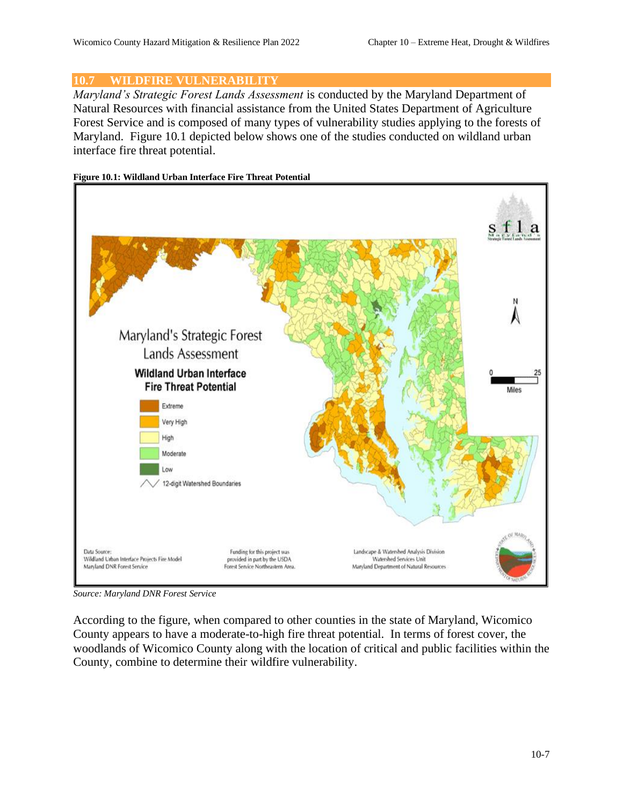## **10.7 WILDFIRE VULNERABILITY**

*Maryland's Strategic Forest Lands Assessment* is conducted by the Maryland Department of Natural Resources with financial assistance from the United States Department of Agriculture Forest Service and is composed of many types of vulnerability studies applying to the forests of Maryland. Figure 10.1 depicted below shows one of the studies conducted on wildland urban interface fire threat potential.

#### **Figure 10.1: Wildland Urban Interface Fire Threat Potential**



*Source: Maryland DNR Forest Service*

According to the figure, when compared to other counties in the state of Maryland, Wicomico County appears to have a moderate-to-high fire threat potential. In terms of forest cover, the woodlands of Wicomico County along with the location of critical and public facilities within the County, combine to determine their wildfire vulnerability.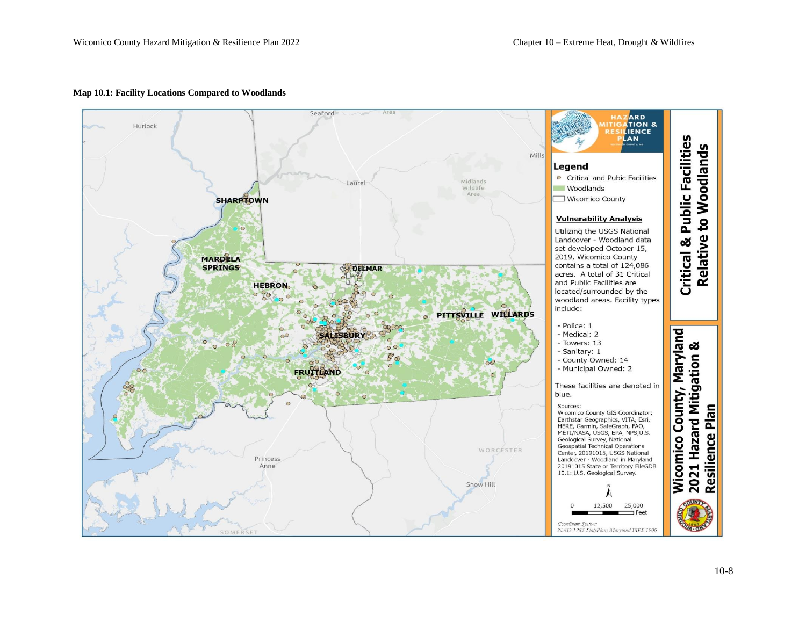

#### **Map 10.1: Facility Locations Compared to Woodlands**